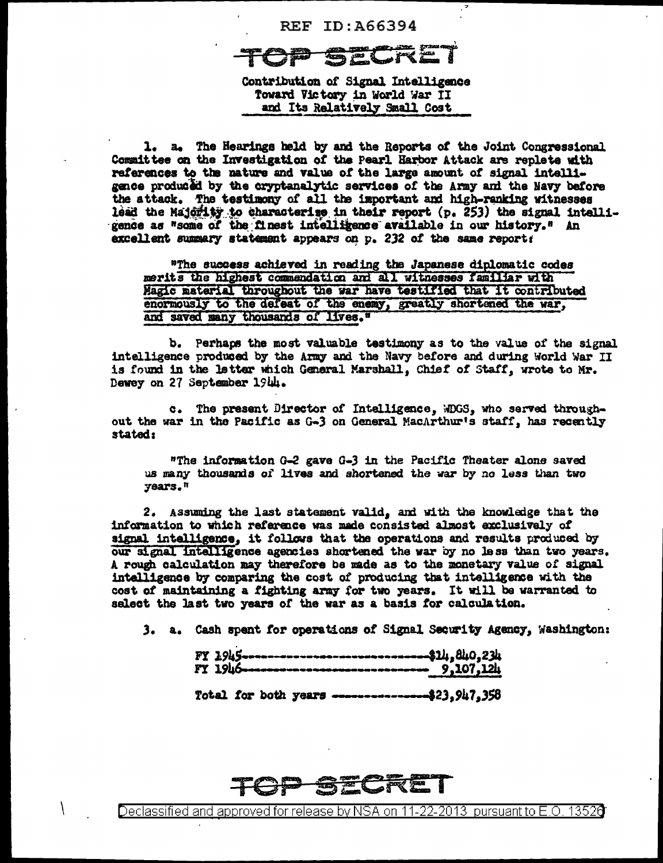## **REF ID: A66394**

Contribution of Signal Intelligence Toward Victory in World War II and Its Relatively Small Cost

1. a. The Hearings held by and the Reports of the Joint Congressional Committee on the Investigation of the Pearl Harbor Attack are replete with references to the nature and value of the large amount of signal intelligence produced by the cryptanalytic services of the Army and the Navy before the attack. The testimony of all the important and high-ranking witnesses lead the Majority to characterize in their report (p. 253) the signal intelligence as "some of the finest intelligence available in our history." An excellent summary statement appears on p. 232 of the same report:

"The success achieved in reading the Japanese diplomatic codes merits the highest commendation and all witnesses familiar with Magic material throughout the war have testified that it contributed enormously to the defeat of the enemy, greatly shortened the war, and saved many thousands of lives."

b. Perhaps the most valuable testimony as to the value of the signal intelligence produced by the Army and the Navy before and during World War II is found in the letter which General Marshall, Chief of Staff, wrote to Mr. Dewey on 27 September 1944.

c. The present Director of Intelligence, WDGS, who served throughout the war in the Pacific as G-3 on General MacArthur's staff, has recently stated:

"The information G-2 gave G-3 in the Pacific Theater alone saved us many thousands of lives and shortened the war by no less than two years."

2. Assuming the last statement valid, and with the knowledge that the information to which reference was made consisted almost exclusively of signal intelligence, it follows that the operations and results produced by our signal intelligence agencies shortened the war by no less than two years. A rough calculation may therefore be made as to the monetary value of signal intelligence by comparing the cost of producing that intelligence with the cost of maintaining a fighting army for two years. It will be warranted to salect the last two years of the war as a basis for calculation.

3. a. Cash spent for operations of Signal Security Agency, Washington:

|  |  | $-7245$<br>FY 1945                               |  |
|--|--|--------------------------------------------------|--|
|  |  | Total for both years ---------------\$23.947.358 |  |

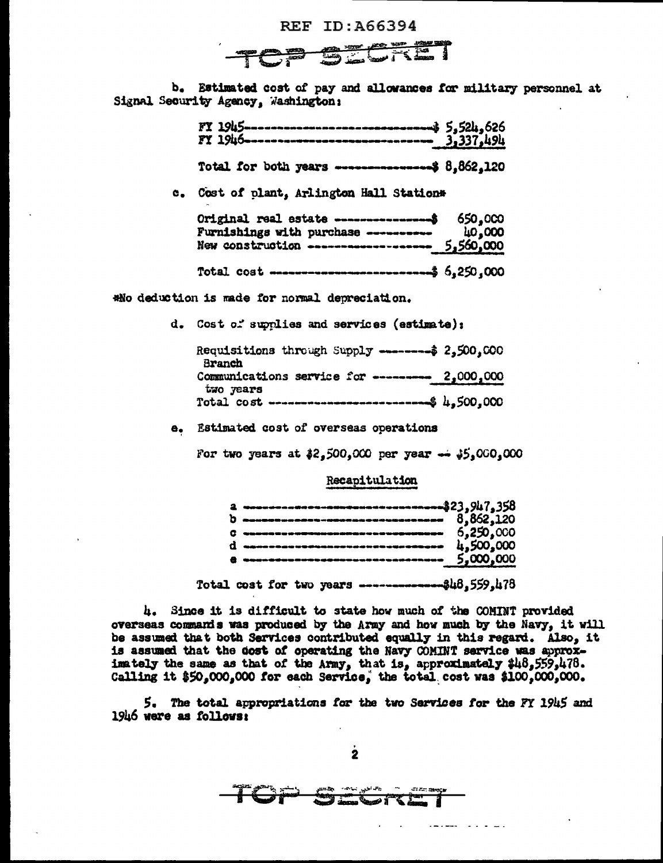

b. Estimated cost of pay and allowances for military personnel at Signal Security Agency, Washington:

|  |  | Total for both years ------------------\$ 8,862,120 |  |
|--|--|-----------------------------------------------------|--|

c. Cost of plant, Arlington Hall Station\*

| Original real estate ------------------\$ 650,000<br>Furnishings with purchase -----------                                      | 40,000 |
|---------------------------------------------------------------------------------------------------------------------------------|--------|
| New construction ------------------ 5,560,000                                                                                   |        |
| Total cost $\cdots$ $\cdots$ $\cdots$ $\cdots$ $\cdots$ $\cdots$ $\cdots$ $\cdots$ $\cdots$ $\cdots$ $\cdots$ $\cdots$ $\cdots$ |        |

\*No deduction is made for normal depreciation.

d. Cost of supplies and services (estimate);

| Requisitions through Supply --------- 2,500,000<br>Branch            |  |
|----------------------------------------------------------------------|--|
| Communications service for -------- 2,000,000                        |  |
| two years<br>Total cost ---------------------------\$ $\mu$ ,500.000 |  |

e. Estimated cost of overseas operations

For two years at  $32,500,000$  per year  $\rightarrow 35,000,000$ 

Recapitulation

| a www.conceres-assessess-concerere\$23,947,358 |  |
|------------------------------------------------|--|
| $b$ $\sim$ 0.862.120                           |  |
|                                                |  |
|                                                |  |
|                                                |  |
|                                                |  |

Total cost for two years -------------\$48,559,478

4. Since it is difficult to state how much of the COMINT provided overseas commands was produced by the Army and how much by the Navy, it will be assumed that both Services contributed equally in this regard. Also, it is assumed that the dost of operating the Navy COMINT service was approximately the same as that of the Army, that is, approximately \$48,559,478. Calling it \$50,000,000 for each Service, the total cost was \$100,000,000.

5. The total appropriations for the two Services for the FY 1945 and 1946 were as follows:

 $\overline{2}$ 

carbon communication

TOP Smoking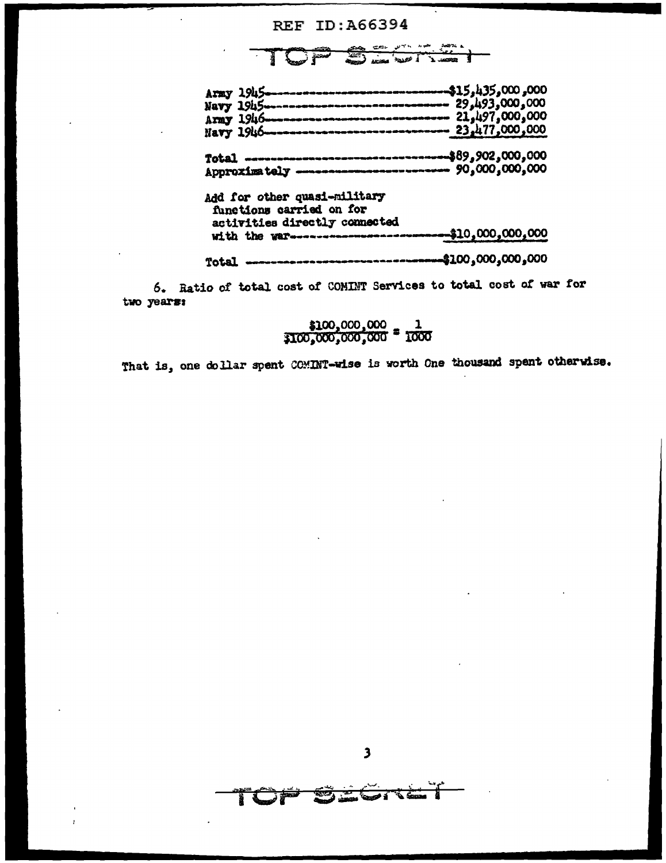## **REF ID: A66394**

 $\frac{1}{\log n}$  $\overline{a}$ T ≈ ز  $\frac{1}{2}$ 

| Army 1945---------------------------------\$15,435,000,000 |  |
|------------------------------------------------------------|--|
| Navy 1945------------------------------ 29,493,000,000     |  |
| Army 1946------------------------------ 21,497,000,000     |  |
| Navy 1946----------------------------- 23,477,000,000      |  |
| Total ----------------------------------\$89,902,000,000   |  |
| Approximately -------------------------- 90,000,000,000    |  |
| Add for other quasi-military                               |  |
| functions carried on for                                   |  |
| activities directly connected                              |  |
| with the war------------------------------\$10,000,000,000 |  |
| Total ----------------------------------\$100,000,000,000  |  |

6. Ratio of total cost of COMINT Services to total cost of war for two years:

$$
\frac{100,000,000}{1000,000,000} = \frac{1}{1000}
$$

That is, one dollar spent COMINT-wise is worth One thousand spent otherwise.

रेडे

 $\sum_{i=1}^{\infty}$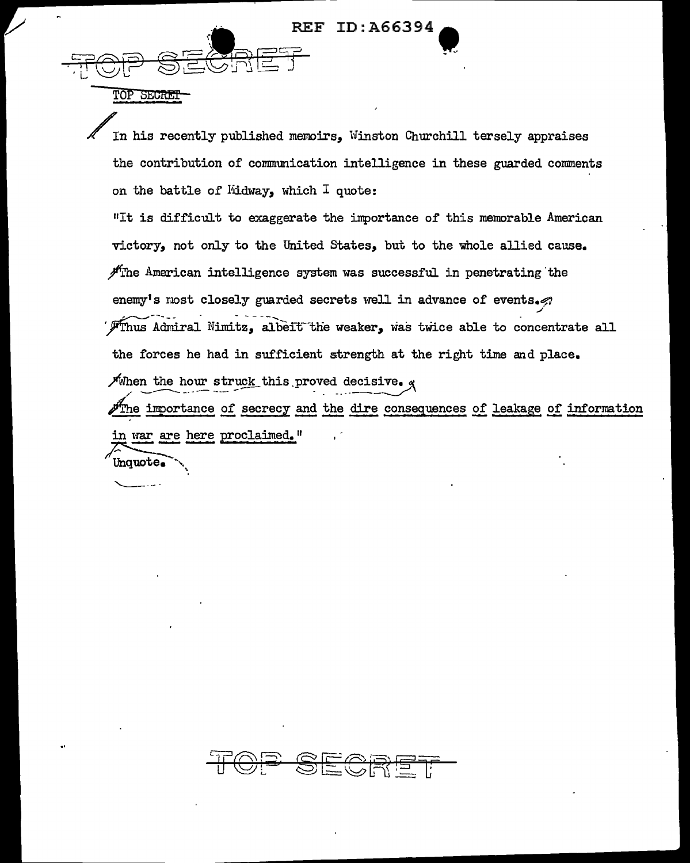**REF ID: A66394** 

TOP SECRET

In his recently published memoirs. Winston Churchill tersely appraises the contribution of communication intelligence in these guarded comments on the battle of Midway, which I quote: "It is difficult to exaggerate the importance of this memorable American victory, not only to the United States, but to the whole allied cause.  $\mathscr{H}_{\Gamma}$  The American intelligence system was successful in penetrating the enemy's most closely guarded secrets well in advance of events. Finus Admiral Nimitz, albeit the weaker, was twice able to concentrate all the forces he had in sufficient strength at the right time and place. When the hour struck this proved decisive.  $g$ The importance of secrecy and the dire consequences of leakage of information in war are here proclaimed." Unquote.